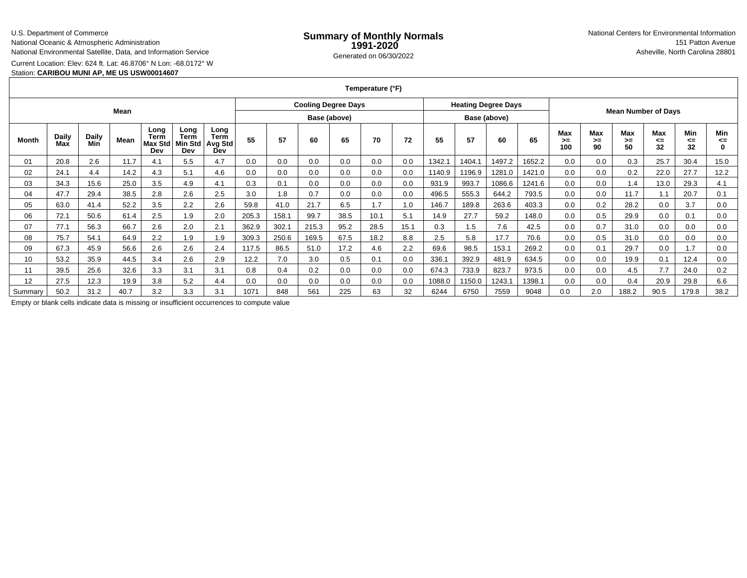### U.S. Department of Commerce

National Oceanic & Atmospheric Administration

National Environmental Satellite, Data, and Information Service

Current Location: Elev: 624 ft. Lat: 46.8706° N Lon: -68.0172° W

## Station: **CARIBOU MUNI AP, ME US USW00014607**

### **Temperature (°F)**

| Mean    |              |              |      |                                |                                              |                                       | <b>Cooling Degree Days</b> |       |       |      |      | <b>Heating Degree Days</b> |        |        |        |                            |                 |                 |                 |                 |                 |                       |
|---------|--------------|--------------|------|--------------------------------|----------------------------------------------|---------------------------------------|----------------------------|-------|-------|------|------|----------------------------|--------|--------|--------|----------------------------|-----------------|-----------------|-----------------|-----------------|-----------------|-----------------------|
|         |              |              |      |                                |                                              |                                       | Base (above)               |       |       |      |      | Base (above)               |        |        |        | <b>Mean Number of Days</b> |                 |                 |                 |                 |                 |                       |
| Month   | Daily<br>Max | Daily<br>Min | Mean | Long<br>Term<br>Max Std<br>Dev | Long<br><b>Term</b><br><b>Min Std</b><br>Dev | Long<br><b>Term</b><br>Avg Std<br>Dev | 55                         | 57    | 60    | 65   | 70   | 72                         | 55     | 57     | 60     | 65                         | Max<br>➤<br>100 | Max<br>>=<br>90 | Max<br>>=<br>50 | Max<br><=<br>32 | Min<br><=<br>32 | Min<br>⋖⋍<br>$\Omega$ |
| 01      | 20.8         | 2.6          | 11.7 | 4.1                            | 5.5                                          | 4.7                                   | 0.0                        | 0.0   | 0.0   | 0.0  | 0.0  | 0.0                        | 1342.1 | 1404.1 | 1497.2 | 1652.2                     | 0.0             | 0.0             | 0.3             | 25.7            | 30.4            | 15.0                  |
| 02      | 24.1         | 4.4          | 14.2 | 4.3                            | 5.1                                          | 4.6                                   | 0.0                        | 0.0   | 0.0   | 0.0  | 0.0  | 0.0                        | 1140.9 | 1196.9 | 1281.0 | 1421.0                     | 0.0             | 0.0             | 0.2             | 22.0            | 27.7            | 12.2                  |
| 03      | 34.3         | 15.6         | 25.0 | 3.5                            | 4.9                                          | 4.1                                   | 0.3                        | 0.1   | 0.0   | 0.0  | 0.0  | 0.0                        | 931.9  | 993.7  | 1086.6 | 1241.6                     | 0.0             | 0.0             | 1.4             | 13.0            | 29.3            | 4.1                   |
| 04      | 47.7         | 29.4         | 38.5 | 2.8                            | 2.6                                          | 2.5                                   | 3.0                        | 1.8   | 0.7   | 0.0  | 0.0  | 0.0                        | 496.5  | 555.3  | 644.2  | 793.5                      | 0.0             | 0.0             | 11.7            | 1.1             | 20.7            | 0.1                   |
| 05      | 63.0         | 41.4         | 52.2 | 3.5                            | 2.2                                          | 2.6                                   | 59.8                       | 41.0  | 21.7  | 6.5  | 1.7  | 1.0                        | 146.7  | 189.8  | 263.6  | 403.3                      | 0.0             | 0.2             | 28.2            | 0.0             | 3.7             | 0.0                   |
| 06      | 72.1         | 50.6         | 61.4 | 2.5                            | 1.9                                          | 2.0                                   | 205.3                      | 158.1 | 99.7  | 38.5 | 10.1 | 5.1                        | 14.9   | 27.7   | 59.2   | 148.0                      | 0.0             | 0.5             | 29.9            | 0.0             | 0.1             | 0.0                   |
| 07      | 77.1         | 56.3         | 66.7 | 2.6                            | 2.0                                          | 2.1                                   | 362.9                      | 302.  | 215.3 | 95.2 | 28.5 | 15.1                       | 0.3    | 1.5    | 7.6    | 42.5                       | 0.0             | 0.7             | 31.0            | 0.0             | 0.0             | 0.0                   |
| 08      | 75.7         | 54.1         | 64.9 | 2.2                            | 1.9                                          | 1.9                                   | 309.3                      | 250.6 | 169.5 | 67.5 | 18.2 | 8.8                        | 2.5    | 5.8    | 17.7   | 70.6                       | 0.0             | 0.5             | 31.0            | 0.0             | 0.0             | 0.0                   |
| 09      | 67.3         | 45.9         | 56.6 | 2.6                            | 2.6                                          | 2.4                                   | 117.5                      | 86.5  | 51.0  | 17.2 | 4.6  | 2.2                        | 69.6   | 98.5   | 153.1  | 269.2                      | 0.0             | 0.1             | 29.7            | 0.0             | 1.7             | 0.0                   |
| 10      | 53.2         | 35.9         | 44.5 | 3.4                            | 2.6                                          | 2.9                                   | 12.2                       | 7.0   | 3.0   | 0.5  | 0.1  | 0.0                        | 336.1  | 392.9  | 481.9  | 634.5                      | 0.0             | 0.0             | 19.9            | 0.1             | 12.4            | 0.0                   |
| 11      | 39.5         | 25.6         | 32.6 | 3.3                            | 3.1                                          | 3.1                                   | 0.8                        | 0.4   | 0.2   | 0.0  | 0.0  | 0.0                        | 674.3  | 733.9  | 823.7  | 973.5                      | 0.0             | 0.0             | 4.5             | 7.7             | 24.0            | 0.2                   |
| 12      | 27.5         | 12.3         | 19.9 | 3.8                            | 5.2                                          | 4.4                                   | 0.0                        | 0.0   | 0.0   | 0.0  | 0.0  | 0.0                        | 1088.0 | 1150.0 | 1243.1 | 1398.1                     | 0.0             | 0.0             | 0.4             | 20.9            | 29.8            | 6.6                   |
| Summarv | 50.2         | 31.2         | 40.7 | 3.2                            | 3.3                                          | 3.1                                   | 1071                       | 848   | 561   | 225  | 63   | 32                         | 6244   | 6750   | 7559   | 9048                       | 0.0             | 2.0             | 188.2           | 90.5            | 179.8           | 38.2                  |

Empty or blank cells indicate data is missing or insufficient occurrences to compute value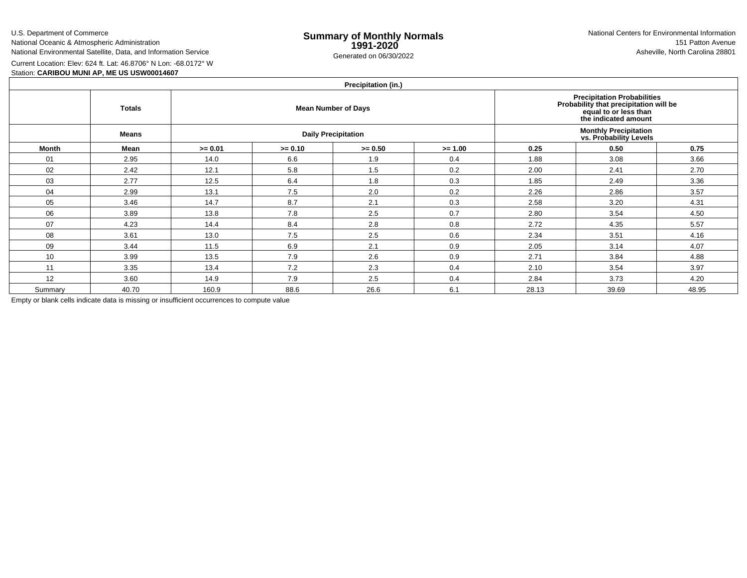U.S. Department of Commerce

National Oceanic & Atmospheric AdministrationNational Environmental Satellite, Data, and Information Service

e **Summary of Monthly Normals**<br> **1991-2020** 151 Patton Avenue **1991-2020** 1997-2020 e Generated on 06/30/2022 Asheville, North Carolina 28801 National Centers for Environmental Information151 Patton Avenue

Current Location: Elev: 624 ft. Lat: 46.8706° N Lon: -68.0172° W

Station: **CARIBOU MUNI AP, ME US USW00014607**

# **Precipitation (in.)**

|         | <b>FIGUIPILATION</b> (III.) |           |           |                            |                                                                                                                               |       |       |       |  |  |  |  |  |
|---------|-----------------------------|-----------|-----------|----------------------------|-------------------------------------------------------------------------------------------------------------------------------|-------|-------|-------|--|--|--|--|--|
|         | <b>Totals</b>               |           |           | <b>Mean Number of Days</b> | <b>Precipitation Probabilities</b><br>Probability that precipitation will be<br>equal to or less than<br>the indicated amount |       |       |       |  |  |  |  |  |
|         | Means                       |           |           | <b>Daily Precipitation</b> | <b>Monthly Precipitation</b><br>vs. Probability Levels                                                                        |       |       |       |  |  |  |  |  |
| Month   | Mean                        | $>= 0.01$ | $>= 0.10$ | $>= 0.50$                  | $>= 1.00$                                                                                                                     | 0.25  | 0.50  | 0.75  |  |  |  |  |  |
| 01      | 2.95                        | 14.0      | 6.6       | 1.9                        | 0.4                                                                                                                           | 1.88  | 3.08  | 3.66  |  |  |  |  |  |
| 02      | 2.42                        | 12.1      | 5.8       | 1.5                        | 0.2                                                                                                                           | 2.00  | 2.41  | 2.70  |  |  |  |  |  |
| 03      | 2.77                        | 12.5      | 6.4       | 1.8                        | 0.3                                                                                                                           | 1.85  | 2.49  | 3.36  |  |  |  |  |  |
| 04      | 2.99                        | 13.1      | 7.5       | 2.0                        | 0.2                                                                                                                           | 2.26  | 2.86  | 3.57  |  |  |  |  |  |
| 05      | 3.46                        | 14.7      | 8.7       | 2.1                        | 0.3                                                                                                                           | 2.58  | 3.20  | 4.31  |  |  |  |  |  |
| 06      | 3.89                        | 13.8      | 7.8       | 2.5                        | 0.7                                                                                                                           | 2.80  | 3.54  | 4.50  |  |  |  |  |  |
| 07      | 4.23                        | 14.4      | 8.4       | 2.8                        | 0.8                                                                                                                           | 2.72  | 4.35  | 5.57  |  |  |  |  |  |
| 08      | 3.61                        | 13.0      | 7.5       | 2.5                        | 0.6                                                                                                                           | 2.34  | 3.51  | 4.16  |  |  |  |  |  |
| 09      | 3.44                        | 11.5      | 6.9       | 2.1                        | 0.9                                                                                                                           | 2.05  | 3.14  | 4.07  |  |  |  |  |  |
| 10      | 3.99                        | 13.5      | 7.9       | 2.6                        | 0.9                                                                                                                           | 2.71  | 3.84  | 4.88  |  |  |  |  |  |
| 11      | 3.35                        | 13.4      | 7.2       | 2.3                        | 0.4                                                                                                                           | 2.10  | 3.54  | 3.97  |  |  |  |  |  |
| 12      | 3.60                        | 14.9      | 7.9       | 2.5                        | 0.4                                                                                                                           | 2.84  | 3.73  | 4.20  |  |  |  |  |  |
| Summary | 40.70                       | 160.9     | 88.6      | 26.6                       | 6.1                                                                                                                           | 28.13 | 39.69 | 48.95 |  |  |  |  |  |

Empty or blank cells indicate data is missing or insufficient occurrences to compute value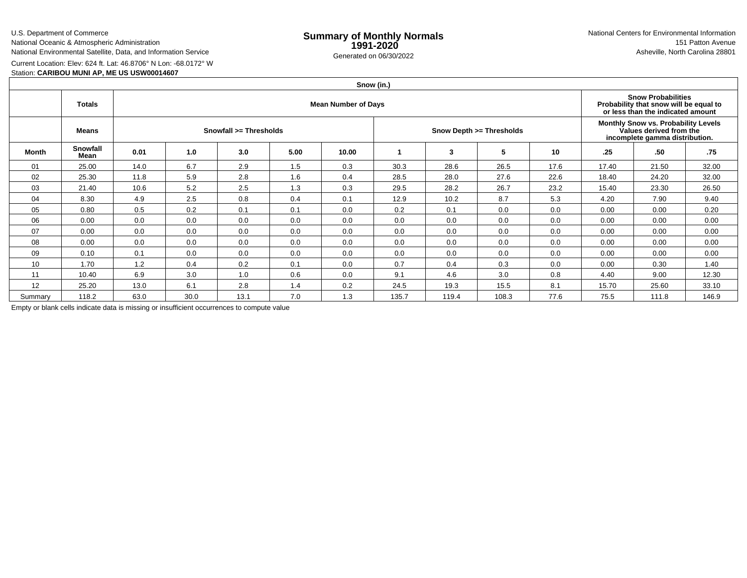U.S. Department of Commerce

National Oceanic & Atmospheric Administration

# National Environmental Satellite, Data, and Information Service

Current Location: Elev: 624 ft. Lat: 46.8706° N Lon: -68.0172° W

## Station: **CARIBOU MUNI AP, ME US USW00014607**

|         | Snow (in.)       |      |      |                                                                                                          |      |       |       |       |                          |      |                                                                                                  |       |       |  |
|---------|------------------|------|------|----------------------------------------------------------------------------------------------------------|------|-------|-------|-------|--------------------------|------|--------------------------------------------------------------------------------------------------|-------|-------|--|
|         | <b>Totals</b>    |      |      | <b>Snow Probabilities</b><br>Probability that snow will be equal to<br>or less than the indicated amount |      |       |       |       |                          |      |                                                                                                  |       |       |  |
|         | <b>Means</b>     |      |      | Snowfall >= Thresholds                                                                                   |      |       |       |       | Snow Depth >= Thresholds |      | Monthly Snow vs. Probability Levels<br>Values derived from the<br>incomplete gamma distribution. |       |       |  |
| Month   | Snowfall<br>Mean | 0.01 | 1.0  | 3.0                                                                                                      | 5.00 | 10.00 |       | 3     | 5                        | 10   | .25                                                                                              | .50   | .75   |  |
| 01      | 25.00            | 14.0 | 6.7  | 2.9                                                                                                      | 1.5  | 0.3   | 30.3  | 28.6  | 26.5                     | 17.6 | 17.40                                                                                            | 21.50 | 32.00 |  |
| 02      | 25.30            | 11.8 | 5.9  | 2.8                                                                                                      | 1.6  | 0.4   | 28.5  | 28.0  | 27.6                     | 22.6 | 18.40                                                                                            | 24.20 | 32.00 |  |
| 03      | 21.40            | 10.6 | 5.2  | 2.5                                                                                                      | 1.3  | 0.3   | 29.5  | 28.2  | 26.7                     | 23.2 | 15.40                                                                                            | 23.30 | 26.50 |  |
| 04      | 8.30             | 4.9  | 2.5  | 0.8                                                                                                      | 0.4  | 0.1   | 12.9  | 10.2  | 8.7                      | 5.3  | 4.20                                                                                             | 7.90  | 9.40  |  |
| 05      | 0.80             | 0.5  | 0.2  | 0.1                                                                                                      | 0.1  | 0.0   | 0.2   | 0.1   | 0.0                      | 0.0  | 0.00                                                                                             | 0.00  | 0.20  |  |
| 06      | 0.00             | 0.0  | 0.0  | 0.0                                                                                                      | 0.0  | 0.0   | 0.0   | 0.0   | 0.0                      | 0.0  | 0.00                                                                                             | 0.00  | 0.00  |  |
| 07      | 0.00             | 0.0  | 0.0  | 0.0                                                                                                      | 0.0  | 0.0   | 0.0   | 0.0   | 0.0                      | 0.0  | 0.00                                                                                             | 0.00  | 0.00  |  |
| 08      | 0.00             | 0.0  | 0.0  | 0.0                                                                                                      | 0.0  | 0.0   | 0.0   | 0.0   | 0.0                      | 0.0  | 0.00                                                                                             | 0.00  | 0.00  |  |
| 09      | 0.10             | 0.1  | 0.0  | 0.0                                                                                                      | 0.0  | 0.0   | 0.0   | 0.0   | 0.0                      | 0.0  | 0.00                                                                                             | 0.00  | 0.00  |  |
| 10      | 1.70             | 1.2  | 0.4  | 0.2                                                                                                      | 0.1  | 0.0   | 0.7   | 0.4   | 0.3                      | 0.0  | 0.00                                                                                             | 0.30  | 1.40  |  |
| 11      | 10.40            | 6.9  | 3.0  | 1.0                                                                                                      | 0.6  | 0.0   | 9.1   | 4.6   | 3.0                      | 0.8  | 4.40                                                                                             | 9.00  | 12.30 |  |
| 12      | 25.20            | 13.0 | 6.1  | 2.8                                                                                                      | 1.4  | 0.2   | 24.5  | 19.3  | 15.5                     | 8.1  | 15.70                                                                                            | 25.60 | 33.10 |  |
| Summary | 118.2            | 63.0 | 30.0 | 13.1                                                                                                     | 7.0  | 1.3   | 135.7 | 119.4 | 108.3                    | 77.6 | 75.5                                                                                             | 111.8 | 146.9 |  |

Empty or blank cells indicate data is missing or insufficient occurrences to compute value